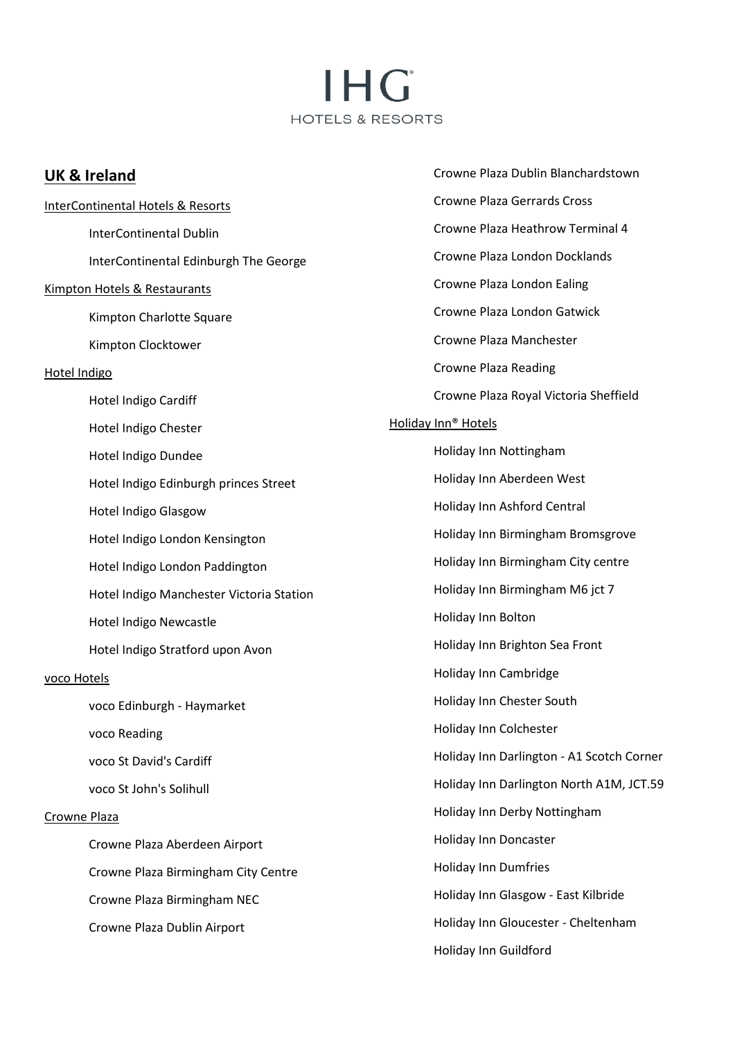# IHG<sup>®</sup> HOTELS & RESORTS

| <b>UK &amp; Ireland</b>                  | Crowne Plaza Dublin Blanchardstown        |
|------------------------------------------|-------------------------------------------|
| InterContinental Hotels & Resorts        | <b>Crowne Plaza Gerrards Cross</b>        |
| <b>InterContinental Dublin</b>           | Crowne Plaza Heathrow Terminal 4          |
| InterContinental Edinburgh The George    | Crowne Plaza London Docklands             |
| <b>Kimpton Hotels &amp; Restaurants</b>  | Crowne Plaza London Ealing                |
| Kimpton Charlotte Square                 | Crowne Plaza London Gatwick               |
| Kimpton Clocktower                       | Crowne Plaza Manchester                   |
| Hotel Indigo                             | <b>Crowne Plaza Reading</b>               |
| Hotel Indigo Cardiff                     | Crowne Plaza Royal Victoria Sheffield     |
| Hotel Indigo Chester                     | Holiday Inn® Hotels                       |
| Hotel Indigo Dundee                      | Holiday Inn Nottingham                    |
| Hotel Indigo Edinburgh princes Street    | Holiday Inn Aberdeen West                 |
| <b>Hotel Indigo Glasgow</b>              | Holiday Inn Ashford Central               |
| Hotel Indigo London Kensington           | Holiday Inn Birmingham Bromsgrove         |
| Hotel Indigo London Paddington           | Holiday Inn Birmingham City centre        |
| Hotel Indigo Manchester Victoria Station | Holiday Inn Birmingham M6 jct 7           |
| Hotel Indigo Newcastle                   | Holiday Inn Bolton                        |
| Hotel Indigo Stratford upon Avon         | Holiday Inn Brighton Sea Front            |
| voco Hotels                              | Holiday Inn Cambridge                     |
| voco Edinburgh - Haymarket               | Holiday Inn Chester South                 |
| voco Reading                             | Holiday Inn Colchester                    |
| voco St David's Cardiff                  | Holiday Inn Darlington - A1 Scotch Corner |
| voco St John's Solihull                  | Holiday Inn Darlington North A1M, JCT.59  |
| Crowne Plaza                             | Holiday Inn Derby Nottingham              |
| Crowne Plaza Aberdeen Airport            | <b>Holiday Inn Doncaster</b>              |
| Crowne Plaza Birmingham City Centre      | <b>Holiday Inn Dumfries</b>               |
| Crowne Plaza Birmingham NEC              | Holiday Inn Glasgow - East Kilbride       |
| Crowne Plaza Dublin Airport              | Holiday Inn Gloucester - Cheltenham       |
|                                          | Holiday Inn Guildford                     |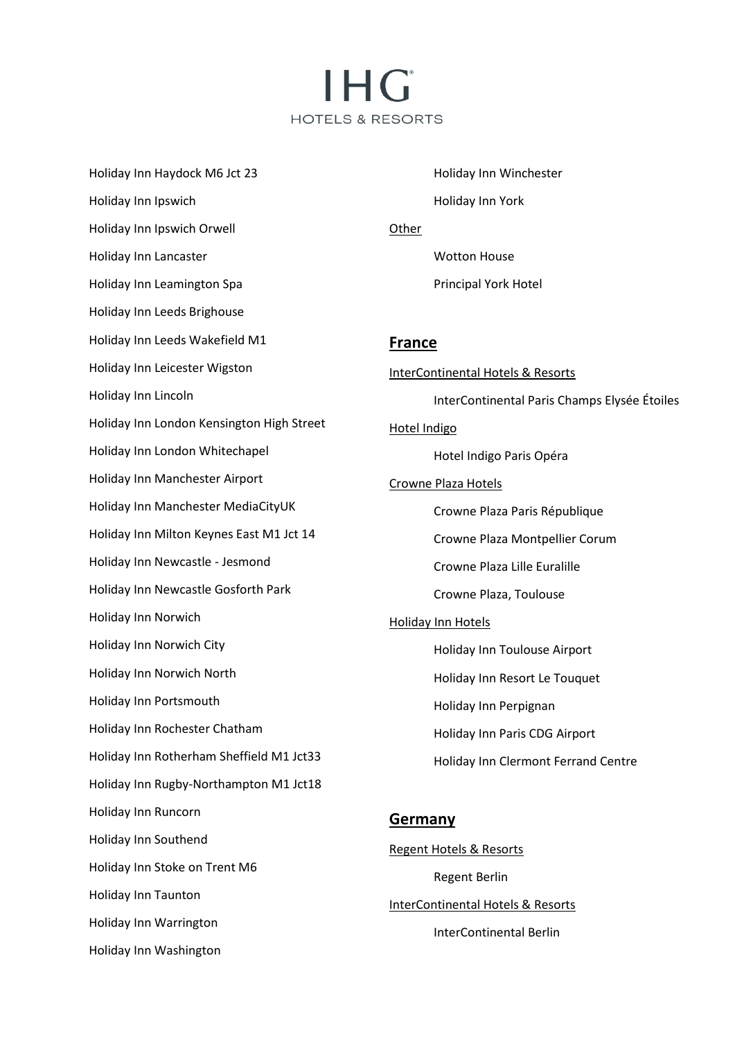I H Gʻ **HOTELS & RESORTS** 

Holiday Inn Haydock M6 Jct 23 Holiday Inn Ipswich Holiday Inn Ipswich Orwell Holiday Inn Lancaster Holiday Inn Leamington Spa Holiday Inn Leeds Brighouse Holiday Inn Leeds Wakefield M1 Holiday Inn Leicester Wigston Holiday Inn Lincoln Holiday Inn London Kensington High Street Holiday Inn London Whitechapel Holiday Inn Manchester Airport Holiday Inn Manchester MediaCityUK Holiday Inn Milton Keynes East M1 Jct 14 Holiday Inn Newcastle - Jesmond Holiday Inn Newcastle Gosforth Park Holiday Inn Norwich Holiday Inn Norwich City Holiday Inn Norwich North Holiday Inn Portsmouth Holiday Inn Rochester Chatham Holiday Inn Rotherham Sheffield M1 Jct33 Holiday Inn Rugby-Northampton M1 Jct18 Holiday Inn Runcorn Holiday Inn Southend Holiday Inn Stoke on Trent M6 Holiday Inn Taunton Holiday Inn Warrington Holiday Inn Washington

Holiday Inn Winchester Holiday Inn York Other Wotton House Principal York Hotel **France** InterContinental Hotels & Resorts InterContinental Paris Champs Elysée Étoiles Hotel Indigo Hotel Indigo Paris Opéra Crowne Plaza Hotels Crowne Plaza Paris République Crowne Plaza Montpellier Corum Crowne Plaza Lille Euralille Crowne Plaza, Toulouse Holiday Inn Hotels Holiday Inn Toulouse Airport Holiday Inn Resort Le Touquet Holiday Inn Perpignan Holiday Inn Paris CDG Airport Holiday Inn Clermont Ferrand Centre **Germany**

Regent Hotels & Resorts Regent Berlin InterContinental Hotels & Resorts InterContinental Berlin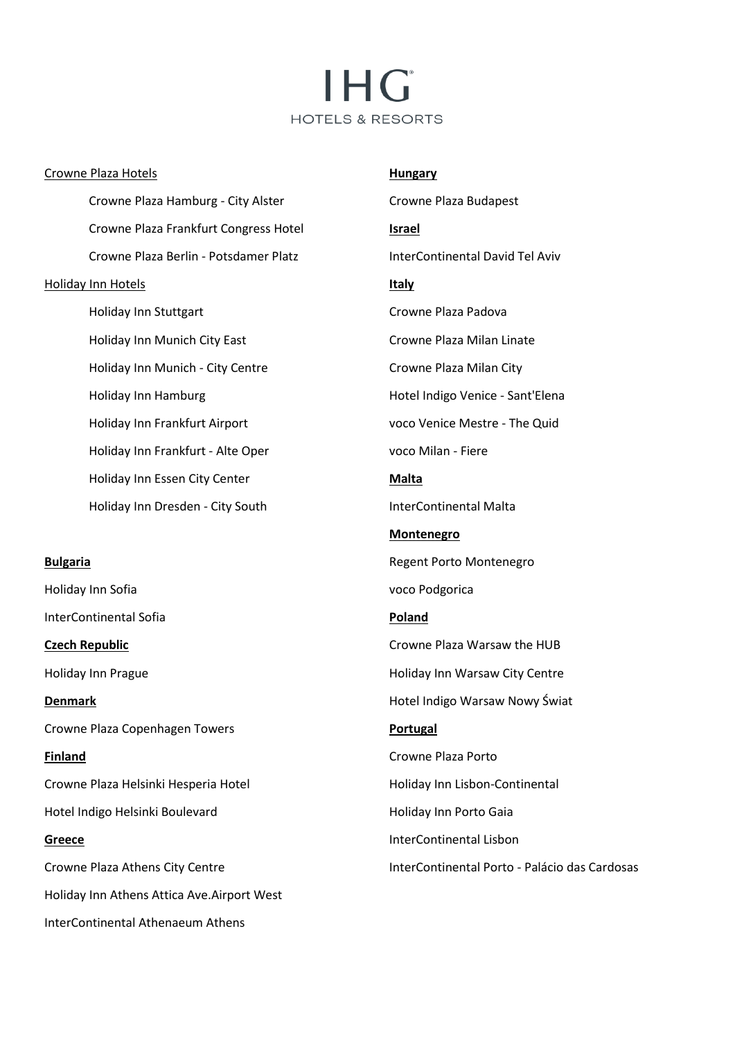# **IHG HOTELS & RESORTS**

#### Crowne Plaza Hotels

Crowne Plaza Hamburg - City Alster Crowne Plaza Frankfurt Congress Hotel Crowne Plaza Berlin - Potsdamer Platz Holiday Inn Hotels Holiday Inn Stuttgart Holiday Inn Munich City East Holiday Inn Munich - City Centre Holiday Inn Hamburg Holiday Inn Frankfurt Airport Holiday Inn Frankfurt - Alte Oper Holiday Inn Essen City Center Holiday Inn Dresden - City South

#### **Bulgaria**

**Denmark**

**Greece** 

Holiday Inn Sofia InterContinental Sofia

**Czech Republic** Holiday Inn Prague

Crowne Plaza Copenhagen Towers

**Finland** Crowne Plaza Helsinki Hesperia Hotel Hotel Indigo Helsinki Boulevard

Crowne Plaza Athens City Centre Holiday Inn Athens Attica Ave.Airport West InterContinental Athenaeum Athens

**Hungary** Crowne Plaza Budapest **Israel** InterContinental David Tel Aviv **Italy** Crowne Plaza Padova Crowne Plaza Milan Linate Crowne Plaza Milan City Hotel Indigo Venice - Sant'Elena voco Venice Mestre - The Quid voco Milan - Fiere **Malta** InterContinental Malta **Montenegro** Regent Porto Montenegro voco Podgorica **Poland** Crowne Plaza Warsaw the HUB Holiday Inn Warsaw City Centre Hotel Indigo Warsaw Nowy Świat **Portugal** Crowne Plaza Porto Holiday Inn Lisbon-Continental Holiday Inn Porto Gaia InterContinental Lisbon

InterContinental Porto - Palácio das Cardosas